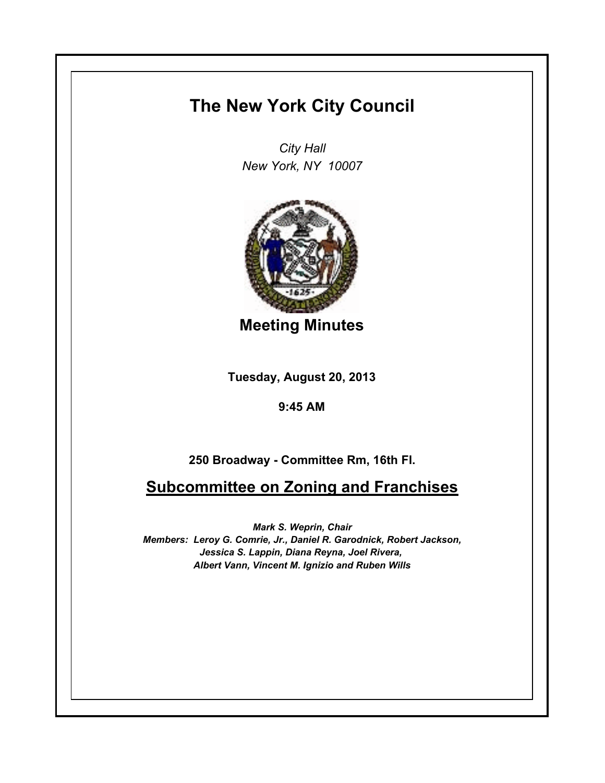## **The New York City Council**

*City Hall New York, NY 10007*



**Meeting Minutes**

**Tuesday, August 20, 2013**

**9:45 AM**

**250 Broadway - Committee Rm, 16th Fl.**

**Subcommittee on Zoning and Franchises**

*Mark S. Weprin, Chair Members: Leroy G. Comrie, Jr., Daniel R. Garodnick, Robert Jackson, Jessica S. Lappin, Diana Reyna, Joel Rivera, Albert Vann, Vincent M. Ignizio and Ruben Wills*